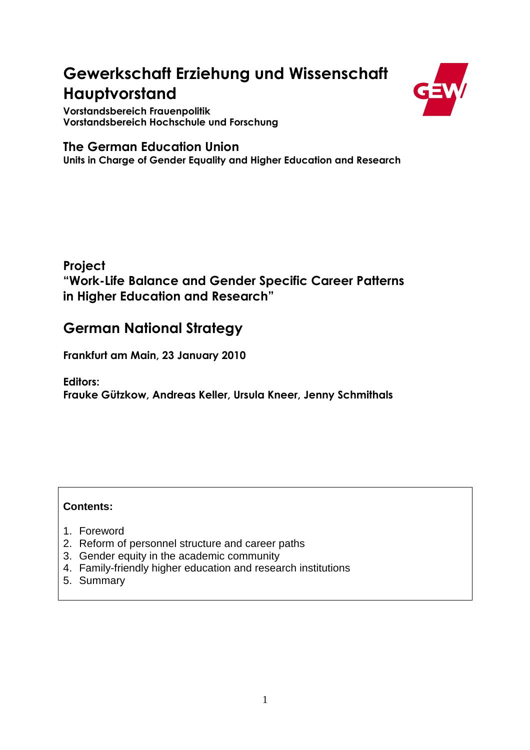# **Gewerkschaft Erziehung und Wissenschaft Hauptvorstand**



**Vorstandsbereich Frauenpolitik Vorstandsbereich Hochschule und Forschung** 

### **The German Education Union**

**Units in Charge of Gender Equality and Higher Education and Research** 

**Project "Work-Life Balance and Gender Specific Career Patterns in Higher Education and Research"** 

## **German National Strategy**

**Frankfurt am Main, 23 January 2010** 

**Editors: Frauke Gützkow, Andreas Keller, Ursula Kneer, Jenny Schmithals** 

#### **Contents:**

- 1. Foreword
- 2. Reform of personnel structure and career paths
- 3. Gender equity in the academic community
- 4. Family-friendly higher education and research institutions
- 5. Summary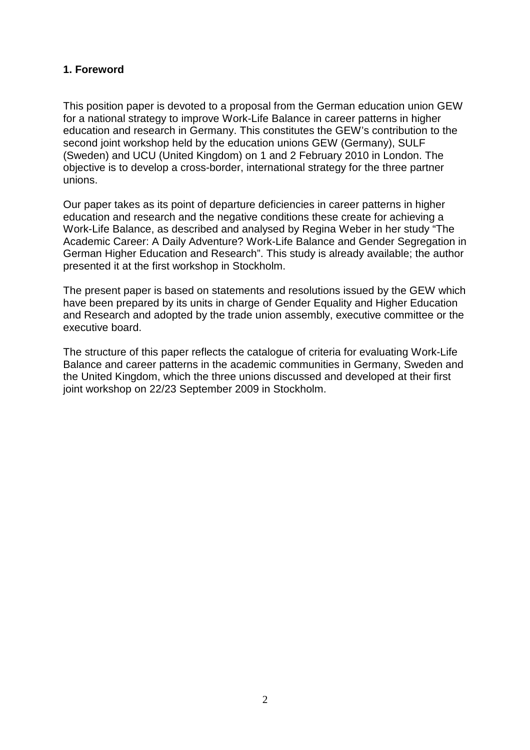#### **1. Foreword**

This position paper is devoted to a proposal from the German education union GEW for a national strategy to improve Work-Life Balance in career patterns in higher education and research in Germany. This constitutes the GEW's contribution to the second joint workshop held by the education unions GEW (Germany), SULF (Sweden) and UCU (United Kingdom) on 1 and 2 February 2010 in London. The objective is to develop a cross-border, international strategy for the three partner unions.

Our paper takes as its point of departure deficiencies in career patterns in higher education and research and the negative conditions these create for achieving a Work-Life Balance, as described and analysed by Regina Weber in her study "The Academic Career: A Daily Adventure? Work-Life Balance and Gender Segregation in German Higher Education and Research". This study is already available; the author presented it at the first workshop in Stockholm.

The present paper is based on statements and resolutions issued by the GEW which have been prepared by its units in charge of Gender Equality and Higher Education and Research and adopted by the trade union assembly, executive committee or the executive board.

The structure of this paper reflects the catalogue of criteria for evaluating Work-Life Balance and career patterns in the academic communities in Germany, Sweden and the United Kingdom, which the three unions discussed and developed at their first joint workshop on 22/23 September 2009 in Stockholm.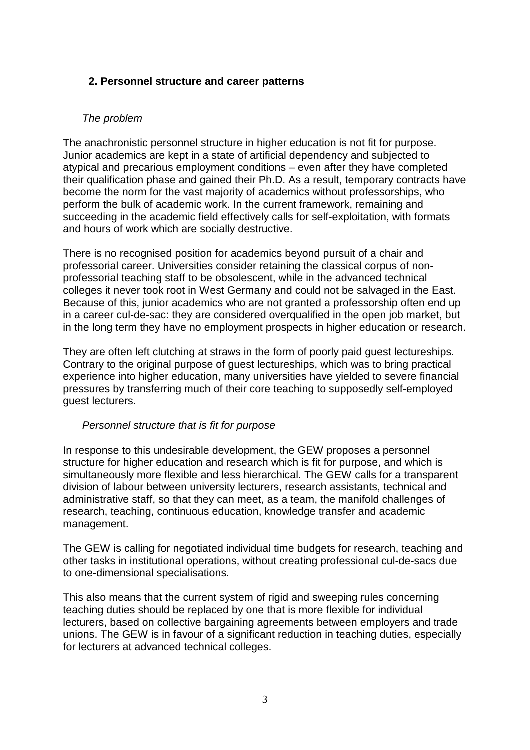#### **2. Personnel structure and career patterns**

#### The problem

The anachronistic personnel structure in higher education is not fit for purpose. Junior academics are kept in a state of artificial dependency and subjected to atypical and precarious employment conditions – even after they have completed their qualification phase and gained their Ph.D. As a result, temporary contracts have become the norm for the vast majority of academics without professorships, who perform the bulk of academic work. In the current framework, remaining and succeeding in the academic field effectively calls for self-exploitation, with formats and hours of work which are socially destructive.

There is no recognised position for academics beyond pursuit of a chair and professorial career. Universities consider retaining the classical corpus of nonprofessorial teaching staff to be obsolescent, while in the advanced technical colleges it never took root in West Germany and could not be salvaged in the East. Because of this, junior academics who are not granted a professorship often end up in a career cul-de-sac: they are considered overqualified in the open job market, but in the long term they have no employment prospects in higher education or research.

They are often left clutching at straws in the form of poorly paid guest lectureships. Contrary to the original purpose of guest lectureships, which was to bring practical experience into higher education, many universities have yielded to severe financial pressures by transferring much of their core teaching to supposedly self-employed guest lecturers.

#### Personnel structure that is fit for purpose

In response to this undesirable development, the GEW proposes a personnel structure for higher education and research which is fit for purpose, and which is simultaneously more flexible and less hierarchical. The GEW calls for a transparent division of labour between university lecturers, research assistants, technical and administrative staff, so that they can meet, as a team, the manifold challenges of research, teaching, continuous education, knowledge transfer and academic management.

The GEW is calling for negotiated individual time budgets for research, teaching and other tasks in institutional operations, without creating professional cul-de-sacs due to one-dimensional specialisations.

This also means that the current system of rigid and sweeping rules concerning teaching duties should be replaced by one that is more flexible for individual lecturers, based on collective bargaining agreements between employers and trade unions. The GEW is in favour of a significant reduction in teaching duties, especially for lecturers at advanced technical colleges.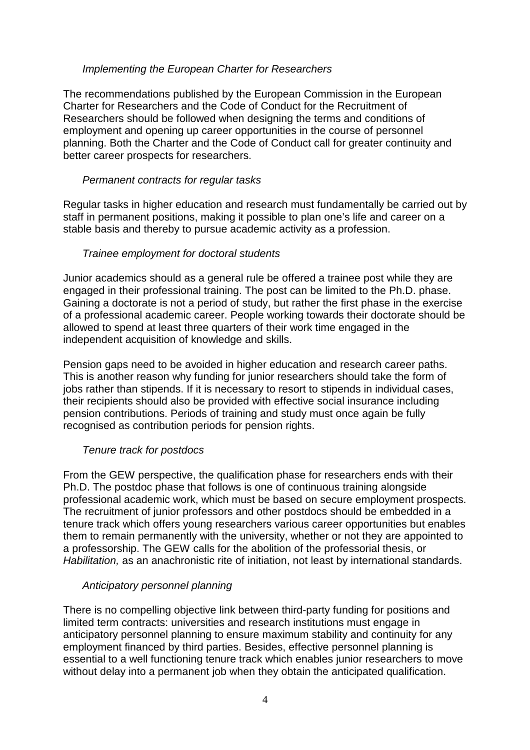#### Implementing the European Charter for Researchers

The recommendations published by the European Commission in the European Charter for Researchers and the Code of Conduct for the Recruitment of Researchers should be followed when designing the terms and conditions of employment and opening up career opportunities in the course of personnel planning. Both the Charter and the Code of Conduct call for greater continuity and better career prospects for researchers.

#### Permanent contracts for regular tasks

Regular tasks in higher education and research must fundamentally be carried out by staff in permanent positions, making it possible to plan one's life and career on a stable basis and thereby to pursue academic activity as a profession.

#### Trainee employment for doctoral students

Junior academics should as a general rule be offered a trainee post while they are engaged in their professional training. The post can be limited to the Ph.D. phase. Gaining a doctorate is not a period of study, but rather the first phase in the exercise of a professional academic career. People working towards their doctorate should be allowed to spend at least three quarters of their work time engaged in the independent acquisition of knowledge and skills.

Pension gaps need to be avoided in higher education and research career paths. This is another reason why funding for junior researchers should take the form of jobs rather than stipends. If it is necessary to resort to stipends in individual cases, their recipients should also be provided with effective social insurance including pension contributions. Periods of training and study must once again be fully recognised as contribution periods for pension rights.

#### Tenure track for postdocs

From the GEW perspective, the qualification phase for researchers ends with their Ph.D. The postdoc phase that follows is one of continuous training alongside professional academic work, which must be based on secure employment prospects. The recruitment of junior professors and other postdocs should be embedded in a tenure track which offers young researchers various career opportunities but enables them to remain permanently with the university, whether or not they are appointed to a professorship. The GEW calls for the abolition of the professorial thesis, or Habilitation, as an anachronistic rite of initiation, not least by international standards.

#### Anticipatory personnel planning

There is no compelling objective link between third-party funding for positions and limited term contracts: universities and research institutions must engage in anticipatory personnel planning to ensure maximum stability and continuity for any employment financed by third parties. Besides, effective personnel planning is essential to a well functioning tenure track which enables junior researchers to move without delay into a permanent job when they obtain the anticipated qualification.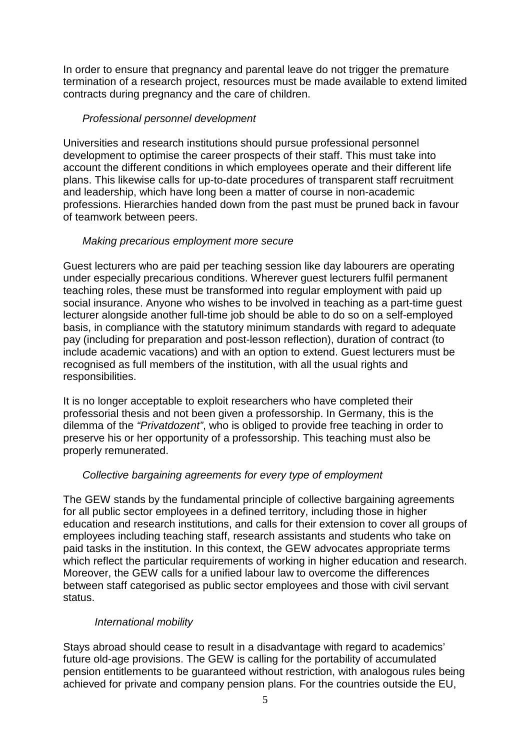In order to ensure that pregnancy and parental leave do not trigger the premature termination of a research project, resources must be made available to extend limited contracts during pregnancy and the care of children.

#### Professional personnel development

Universities and research institutions should pursue professional personnel development to optimise the career prospects of their staff. This must take into account the different conditions in which employees operate and their different life plans. This likewise calls for up-to-date procedures of transparent staff recruitment and leadership, which have long been a matter of course in non-academic professions. Hierarchies handed down from the past must be pruned back in favour of teamwork between peers.

#### Making precarious employment more secure

Guest lecturers who are paid per teaching session like day labourers are operating under especially precarious conditions. Wherever guest lecturers fulfil permanent teaching roles, these must be transformed into regular employment with paid up social insurance. Anyone who wishes to be involved in teaching as a part-time guest lecturer alongside another full-time job should be able to do so on a self-employed basis, in compliance with the statutory minimum standards with regard to adequate pay (including for preparation and post-lesson reflection), duration of contract (to include academic vacations) and with an option to extend. Guest lecturers must be recognised as full members of the institution, with all the usual rights and responsibilities.

It is no longer acceptable to exploit researchers who have completed their professorial thesis and not been given a professorship. In Germany, this is the dilemma of the "Privatdozent", who is obliged to provide free teaching in order to preserve his or her opportunity of a professorship. This teaching must also be properly remunerated.

#### Collective bargaining agreements for every type of employment

The GEW stands by the fundamental principle of collective bargaining agreements for all public sector employees in a defined territory, including those in higher education and research institutions, and calls for their extension to cover all groups of employees including teaching staff, research assistants and students who take on paid tasks in the institution. In this context, the GEW advocates appropriate terms which reflect the particular requirements of working in higher education and research. Moreover, the GEW calls for a unified labour law to overcome the differences between staff categorised as public sector employees and those with civil servant status.

#### International mobility

Stays abroad should cease to result in a disadvantage with regard to academics' future old-age provisions. The GEW is calling for the portability of accumulated pension entitlements to be guaranteed without restriction, with analogous rules being achieved for private and company pension plans. For the countries outside the EU,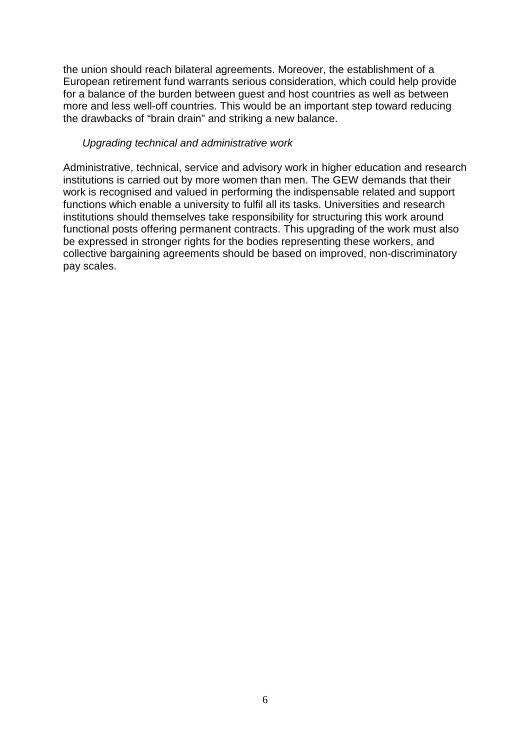the union should reach bilateral agreements. Moreover, the establishment of a European retirement fund warrants serious consideration, which could help provide for a balance of the burden between guest and host countries as well as between more and less well-off countries. This would be an important step toward reducing the drawbacks of "brain drain" and striking a new balance.

#### Upgrading technical and administrative work

Administrative, technical, service and advisory work in higher education and research institutions is carried out by more women than men. The GEW demands that their work is recognised and valued in performing the indispensable related and support functions which enable a university to fulfil all its tasks. Universities and research institutions should themselves take responsibility for structuring this work around functional posts offering permanent contracts. This upgrading of the work must also be expressed in stronger rights for the bodies representing these workers, and collective bargaining agreements should be based on improved, non-discriminatory pay scales.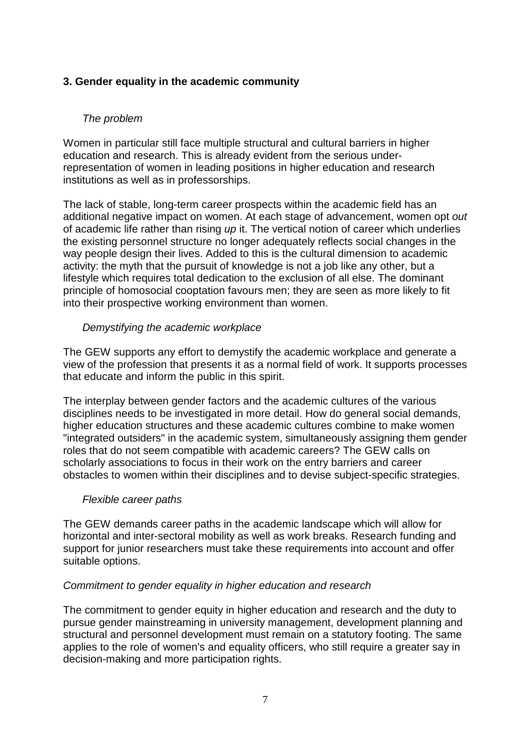#### **3. Gender equality in the academic community**

#### The problem

Women in particular still face multiple structural and cultural barriers in higher education and research. This is already evident from the serious underrepresentation of women in leading positions in higher education and research institutions as well as in professorships.

The lack of stable, long-term career prospects within the academic field has an additional negative impact on women. At each stage of advancement, women opt out of academic life rather than rising up it. The vertical notion of career which underlies the existing personnel structure no longer adequately reflects social changes in the way people design their lives. Added to this is the cultural dimension to academic activity: the myth that the pursuit of knowledge is not a job like any other, but a lifestyle which requires total dedication to the exclusion of all else. The dominant principle of homosocial cooptation favours men; they are seen as more likely to fit into their prospective working environment than women.

#### Demystifying the academic workplace

The GEW supports any effort to demystify the academic workplace and generate a view of the profession that presents it as a normal field of work. It supports processes that educate and inform the public in this spirit.

The interplay between gender factors and the academic cultures of the various disciplines needs to be investigated in more detail. How do general social demands, higher education structures and these academic cultures combine to make women "integrated outsiders" in the academic system, simultaneously assigning them gender roles that do not seem compatible with academic careers? The GEW calls on scholarly associations to focus in their work on the entry barriers and career obstacles to women within their disciplines and to devise subject-specific strategies.

#### Flexible career paths

The GEW demands career paths in the academic landscape which will allow for horizontal and inter-sectoral mobility as well as work breaks. Research funding and support for junior researchers must take these requirements into account and offer suitable options.

#### Commitment to gender equality in higher education and research

The commitment to gender equity in higher education and research and the duty to pursue gender mainstreaming in university management, development planning and structural and personnel development must remain on a statutory footing. The same applies to the role of women's and equality officers, who still require a greater say in decision-making and more participation rights.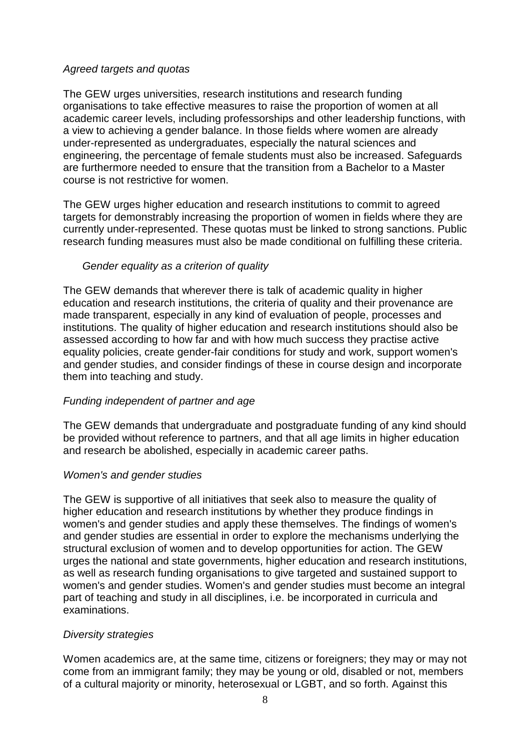#### Agreed targets and quotas

The GEW urges universities, research institutions and research funding organisations to take effective measures to raise the proportion of women at all academic career levels, including professorships and other leadership functions, with a view to achieving a gender balance. In those fields where women are already under-represented as undergraduates, especially the natural sciences and engineering, the percentage of female students must also be increased. Safeguards are furthermore needed to ensure that the transition from a Bachelor to a Master course is not restrictive for women.

The GEW urges higher education and research institutions to commit to agreed targets for demonstrably increasing the proportion of women in fields where they are currently under-represented. These quotas must be linked to strong sanctions. Public research funding measures must also be made conditional on fulfilling these criteria.

#### Gender equality as a criterion of quality

The GEW demands that wherever there is talk of academic quality in higher education and research institutions, the criteria of quality and their provenance are made transparent, especially in any kind of evaluation of people, processes and institutions. The quality of higher education and research institutions should also be assessed according to how far and with how much success they practise active equality policies, create gender-fair conditions for study and work, support women's and gender studies, and consider findings of these in course design and incorporate them into teaching and study.

#### Funding independent of partner and age

The GEW demands that undergraduate and postgraduate funding of any kind should be provided without reference to partners, and that all age limits in higher education and research be abolished, especially in academic career paths.

#### Women's and gender studies

The GEW is supportive of all initiatives that seek also to measure the quality of higher education and research institutions by whether they produce findings in women's and gender studies and apply these themselves. The findings of women's and gender studies are essential in order to explore the mechanisms underlying the structural exclusion of women and to develop opportunities for action. The GEW urges the national and state governments, higher education and research institutions, as well as research funding organisations to give targeted and sustained support to women's and gender studies. Women's and gender studies must become an integral part of teaching and study in all disciplines, i.e. be incorporated in curricula and examinations.

#### Diversity strategies

Women academics are, at the same time, citizens or foreigners; they may or may not come from an immigrant family; they may be young or old, disabled or not, members of a cultural majority or minority, heterosexual or LGBT, and so forth. Against this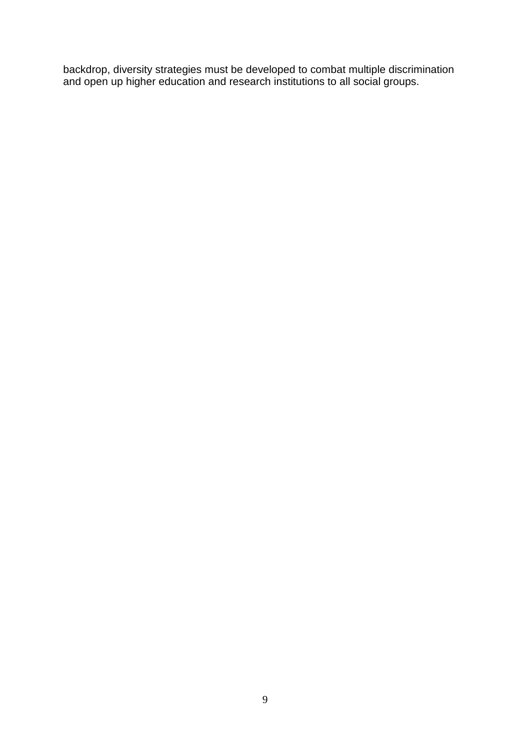backdrop, diversity strategies must be developed to combat multiple discrimination and open up higher education and research institutions to all social groups.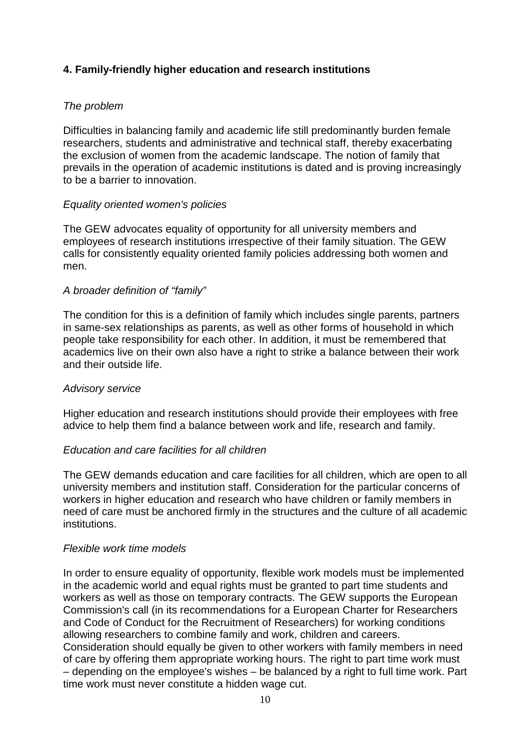#### **4. Family-friendly higher education and research institutions**

#### The problem

Difficulties in balancing family and academic life still predominantly burden female researchers, students and administrative and technical staff, thereby exacerbating the exclusion of women from the academic landscape. The notion of family that prevails in the operation of academic institutions is dated and is proving increasingly to be a barrier to innovation.

#### Equality oriented women's policies

The GEW advocates equality of opportunity for all university members and employees of research institutions irrespective of their family situation. The GEW calls for consistently equality oriented family policies addressing both women and men.

#### A broader definition of "family"

The condition for this is a definition of family which includes single parents, partners in same-sex relationships as parents, as well as other forms of household in which people take responsibility for each other. In addition, it must be remembered that academics live on their own also have a right to strike a balance between their work and their outside life.

#### Advisory service

Higher education and research institutions should provide their employees with free advice to help them find a balance between work and life, research and family.

#### Education and care facilities for all children

The GEW demands education and care facilities for all children, which are open to all university members and institution staff. Consideration for the particular concerns of workers in higher education and research who have children or family members in need of care must be anchored firmly in the structures and the culture of all academic institutions.

#### Flexible work time models

In order to ensure equality of opportunity, flexible work models must be implemented in the academic world and equal rights must be granted to part time students and workers as well as those on temporary contracts. The GEW supports the European Commission's call (in its recommendations for a European Charter for Researchers and Code of Conduct for the Recruitment of Researchers) for working conditions allowing researchers to combine family and work, children and careers. Consideration should equally be given to other workers with family members in need of care by offering them appropriate working hours. The right to part time work must – depending on the employee's wishes – be balanced by a right to full time work. Part time work must never constitute a hidden wage cut.